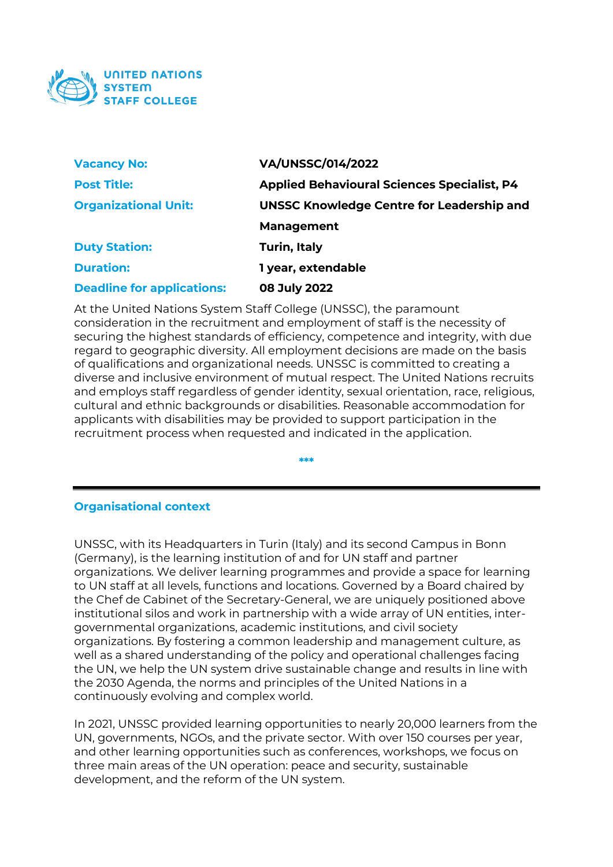

| <b>Vacancy No:</b>                | <b>VA/UNSSC/014/2022</b>                           |
|-----------------------------------|----------------------------------------------------|
| <b>Post Title:</b>                | <b>Applied Behavioural Sciences Specialist, P4</b> |
| <b>Organizational Unit:</b>       | <b>UNSSC Knowledge Centre for Leadership and</b>   |
|                                   | <b>Management</b>                                  |
| <b>Duty Station:</b>              | <b>Turin, Italy</b>                                |
| <b>Duration:</b>                  | 1 year, extendable                                 |
| <b>Deadline for applications:</b> | 08 July 2022                                       |

At the United Nations System Staff College (UNSSC), the paramount consideration in the recruitment and employment of staff is the necessity of securing the highest standards of efficiency, competence and integrity, with due regard to geographic diversity. All employment decisions are made on the basis of qualifications and organizational needs. UNSSC is committed to creating a diverse and inclusive environment of mutual respect. The United Nations recruits and employs staff regardless of gender identity, sexual orientation, race, religious, cultural and ethnic backgrounds or disabilities. Reasonable accommodation for applicants with disabilities may be provided to support participation in the recruitment process when requested and indicated in the application.

**\*\*\***

#### **Organisational context**

UNSSC, with its Headquarters in Turin (Italy) and its second Campus in Bonn (Germany), is the learning institution of and for UN staff and partner organizations. We deliver learning programmes and provide a space for learning to UN staff at all levels, functions and locations. Governed by a Board chaired by the Chef de Cabinet of the Secretary-General, we are uniquely positioned above institutional silos and work in partnership with a wide array of UN entities, intergovernmental organizations, academic institutions, and civil society organizations. By fostering a common leadership and management culture, as well as a shared understanding of the policy and operational challenges facing the UN, we help the UN system drive sustainable change and results in line with the 2030 Agenda, the norms and principles of the United Nations in a continuously evolving and complex world.

In 2021, UNSSC provided learning opportunities to nearly 20,000 learners from the UN, governments, NGOs, and the private sector. With over 150 courses per year, and other learning opportunities such as conferences, workshops, we focus on three main areas of the UN operation: peace and security, sustainable development, and the reform of the UN system.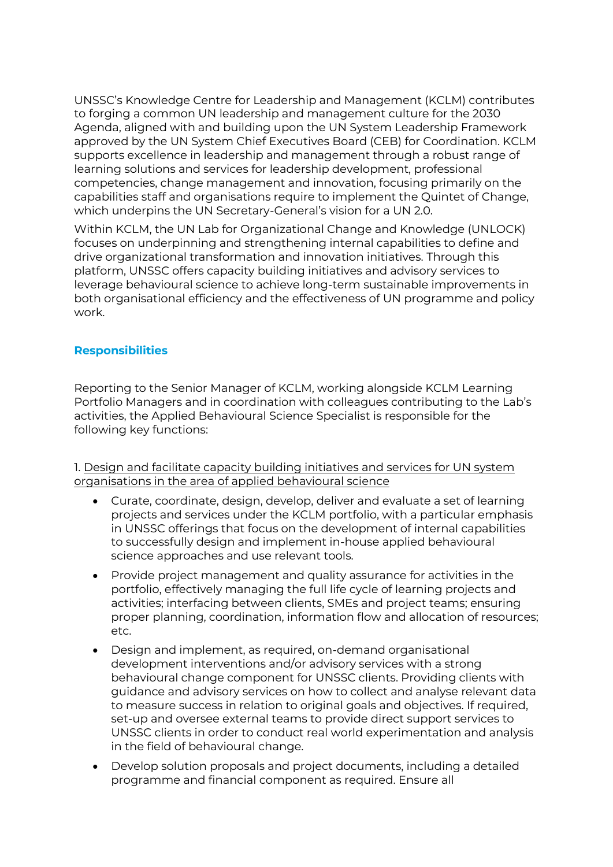UNSSC's Knowledge Centre for Leadership and Management (KCLM) contributes to forging a common UN leadership and management culture for the 2030 Agenda, aligned with and building upon the UN System Leadership Framework approved by the UN System Chief Executives Board (CEB) for Coordination. KCLM supports excellence in leadership and management through a robust range of learning solutions and services for leadership development, professional competencies, change management and innovation, focusing primarily on the capabilities staff and organisations require to implement the Quintet of Change, which underpins the UN Secretary-General's vision for a UN 2.0.

Within KCLM, the UN Lab for Organizational Change and Knowledge (UNLOCK) focuses on underpinning and strengthening internal capabilities to define and drive organizational transformation and innovation initiatives. Through this platform, UNSSC offers capacity building initiatives and advisory services to leverage behavioural science to achieve long-term sustainable improvements in both organisational efficiency and the effectiveness of UN programme and policy work.

# **Responsibilities**

Reporting to the Senior Manager of KCLM, working alongside KCLM Learning Portfolio Managers and in coordination with colleagues contributing to the Lab's activities, the Applied Behavioural Science Specialist is responsible for the following key functions:

1. Design and facilitate capacity building initiatives and services for UN system organisations in the area of applied behavioural science

- Curate, coordinate, design, develop, deliver and evaluate a set of learning projects and services under the KCLM portfolio, with a particular emphasis in UNSSC offerings that focus on the development of internal capabilities to successfully design and implement in-house applied behavioural science approaches and use relevant tools.
- Provide project management and quality assurance for activities in the portfolio, effectively managing the full life cycle of learning projects and activities; interfacing between clients, SMEs and project teams; ensuring proper planning, coordination, information flow and allocation of resources; etc.
- Design and implement, as required, on-demand organisational development interventions and/or advisory services with a strong behavioural change component for UNSSC clients. Providing clients with guidance and advisory services on how to collect and analyse relevant data to measure success in relation to original goals and objectives. If required, set-up and oversee external teams to provide direct support services to UNSSC clients in order to conduct real world experimentation and analysis in the field of behavioural change.
- Develop solution proposals and project documents, including a detailed programme and financial component as required. Ensure all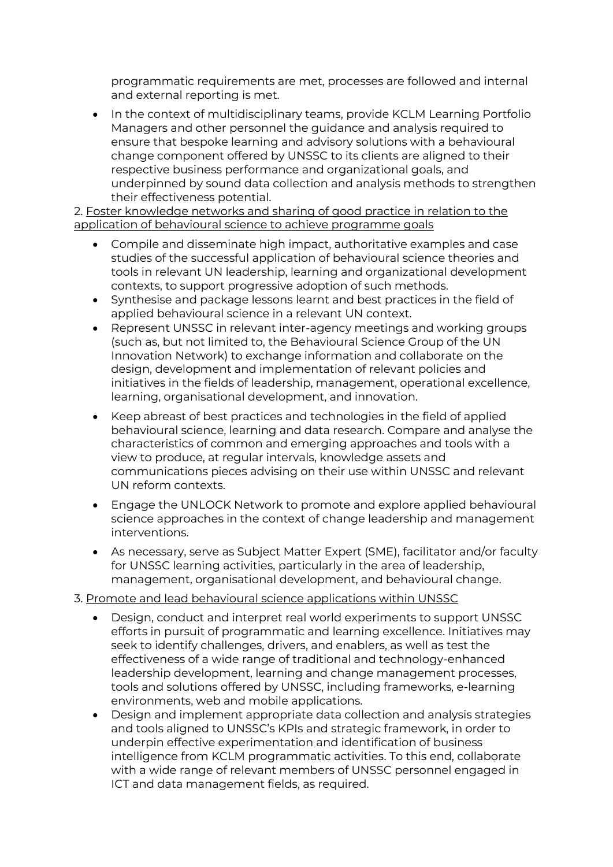programmatic requirements are met, processes are followed and internal and external reporting is met.

• In the context of multidisciplinary teams, provide KCLM Learning Portfolio Managers and other personnel the guidance and analysis required to ensure that bespoke learning and advisory solutions with a behavioural change component offered by UNSSC to its clients are aligned to their respective business performance and organizational goals, and underpinned by sound data collection and analysis methods to strengthen their effectiveness potential.

2. Foster knowledge networks and sharing of good practice in relation to the application of behavioural science to achieve programme goals

- Compile and disseminate high impact, authoritative examples and case studies of the successful application of behavioural science theories and tools in relevant UN leadership, learning and organizational development contexts, to support progressive adoption of such methods.
- Synthesise and package lessons learnt and best practices in the field of applied behavioural science in a relevant UN context.
- Represent UNSSC in relevant inter-agency meetings and working groups (such as, but not limited to, the Behavioural Science Group of the UN Innovation Network) to exchange information and collaborate on the design, development and implementation of relevant policies and initiatives in the fields of leadership, management, operational excellence, learning, organisational development, and innovation.
- Keep abreast of best practices and technologies in the field of applied behavioural science, learning and data research. Compare and analyse the characteristics of common and emerging approaches and tools with a view to produce, at regular intervals, knowledge assets and communications pieces advising on their use within UNSSC and relevant UN reform contexts.
- Engage the UNLOCK Network to promote and explore applied behavioural science approaches in the context of change leadership and management interventions.
- As necessary, serve as Subject Matter Expert (SME), facilitator and/or faculty for UNSSC learning activities, particularly in the area of leadership, management, organisational development, and behavioural change.

# 3. Promote and lead behavioural science applications within UNSSC

- Design, conduct and interpret real world experiments to support UNSSC efforts in pursuit of programmatic and learning excellence. Initiatives may seek to identify challenges, drivers, and enablers, as well as test the effectiveness of a wide range of traditional and technology-enhanced leadership development, learning and change management processes, tools and solutions offered by UNSSC, including frameworks, e-learning environments, web and mobile applications.
- Design and implement appropriate data collection and analysis strategies and tools aligned to UNSSC's KPIs and strategic framework, in order to underpin effective experimentation and identification of business intelligence from KCLM programmatic activities. To this end, collaborate with a wide range of relevant members of UNSSC personnel engaged in ICT and data management fields, as required.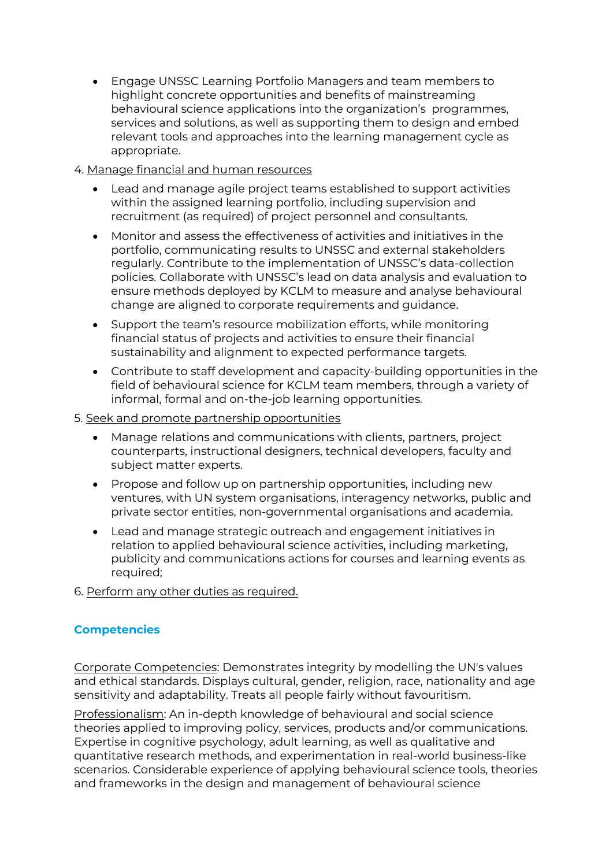• Engage UNSSC Learning Portfolio Managers and team members to highlight concrete opportunities and benefits of mainstreaming behavioural science applications into the organization's programmes, services and solutions, as well as supporting them to design and embed relevant tools and approaches into the learning management cycle as appropriate.

#### 4. Manage financial and human resources

- Lead and manage agile project teams established to support activities within the assigned learning portfolio, including supervision and recruitment (as required) of project personnel and consultants.
- Monitor and assess the effectiveness of activities and initiatives in the portfolio, communicating results to UNSSC and external stakeholders regularly. Contribute to the implementation of UNSSC's data-collection policies. Collaborate with UNSSC's lead on data analysis and evaluation to ensure methods deployed by KCLM to measure and analyse behavioural change are aligned to corporate requirements and guidance.
- Support the team's resource mobilization efforts, while monitoring financial status of projects and activities to ensure their financial sustainability and alignment to expected performance targets.
- Contribute to staff development and capacity-building opportunities in the field of behavioural science for KCLM team members, through a variety of informal, formal and on-the-job learning opportunities.

#### 5. Seek and promote partnership opportunities

- Manage relations and communications with clients, partners, project counterparts, instructional designers, technical developers, faculty and subject matter experts.
- Propose and follow up on partnership opportunities, including new ventures, with UN system organisations, interagency networks, public and private sector entities, non-governmental organisations and academia.
- Lead and manage strategic outreach and engagement initiatives in relation to applied behavioural science activities, including marketing, publicity and communications actions for courses and learning events as required;
- 6. Perform any other duties as required.

# **Competencies**

Corporate Competencies: Demonstrates integrity by modelling the UN's values and ethical standards. Displays cultural, gender, religion, race, nationality and age sensitivity and adaptability. Treats all people fairly without favouritism.

Professionalism: An in-depth knowledge of behavioural and social science theories applied to improving policy, services, products and/or communications. Expertise in cognitive psychology, adult learning, as well as qualitative and quantitative research methods, and experimentation in real-world business-like scenarios. Considerable experience of applying behavioural science tools, theories and frameworks in the design and management of behavioural science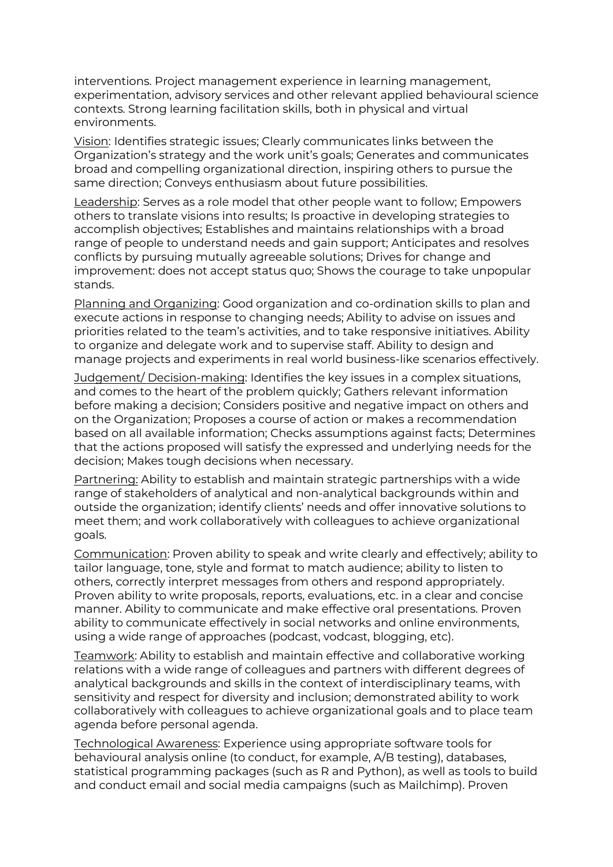interventions. Project management experience in learning management, experimentation, advisory services and other relevant applied behavioural science contexts. Strong learning facilitation skills, both in physical and virtual environments.

Vision: Identifies strategic issues; Clearly communicates links between the Organization's strategy and the work unit's goals; Generates and communicates broad and compelling organizational direction, inspiring others to pursue the same direction; Conveys enthusiasm about future possibilities.

Leadership: Serves as a role model that other people want to follow; Empowers others to translate visions into results; Is proactive in developing strategies to accomplish objectives; Establishes and maintains relationships with a broad range of people to understand needs and gain support; Anticipates and resolves conflicts by pursuing mutually agreeable solutions; Drives for change and improvement: does not accept status quo; Shows the courage to take unpopular stands.

Planning and Organizing: Good organization and co-ordination skills to plan and execute actions in response to changing needs; Ability to advise on issues and priorities related to the team's activities, and to take responsive initiatives. Ability to organize and delegate work and to supervise staff. Ability to design and manage projects and experiments in real world business-like scenarios effectively.

Judgement/ Decision-making: Identifies the key issues in a complex situations, and comes to the heart of the problem quickly; Gathers relevant information before making a decision; Considers positive and negative impact on others and on the Organization; Proposes a course of action or makes a recommendation based on all available information; Checks assumptions against facts; Determines that the actions proposed will satisfy the expressed and underlying needs for the decision; Makes tough decisions when necessary.

Partnering: Ability to establish and maintain strategic partnerships with a wide range of stakeholders of analytical and non-analytical backgrounds within and outside the organization; identify clients' needs and offer innovative solutions to meet them; and work collaboratively with colleagues to achieve organizational goals.

Communication: Proven ability to speak and write clearly and effectively; ability to tailor language, tone, style and format to match audience; ability to listen to others, correctly interpret messages from others and respond appropriately. Proven ability to write proposals, reports, evaluations, etc. in a clear and concise manner. Ability to communicate and make effective oral presentations. Proven ability to communicate effectively in social networks and online environments, using a wide range of approaches (podcast, vodcast, blogging, etc).

Teamwork: Ability to establish and maintain effective and collaborative working relations with a wide range of colleagues and partners with different degrees of analytical backgrounds and skills in the context of interdisciplinary teams, with sensitivity and respect for diversity and inclusion; demonstrated ability to work collaboratively with colleagues to achieve organizational goals and to place team agenda before personal agenda.

Technological Awareness: Experience using appropriate software tools for behavioural analysis online (to conduct, for example, A/B testing), databases, statistical programming packages (such as R and Python), as well as tools to build and conduct email and social media campaigns (such as Mailchimp). Proven